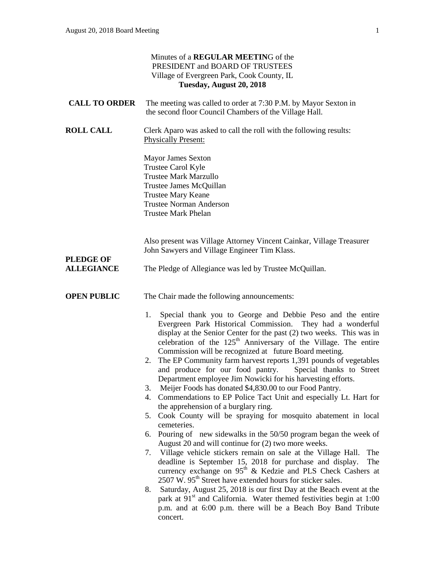| Minutes of a REGULAR MEETING of the<br>PRESIDENT and BOARD OF TRUSTEES<br>Village of Evergreen Park, Cook County, IL<br>Tuesday, August 20, 2018 |                                                                                                                                                                                                                                                                                                                                                                                                                                                                                                                                                                                                                                                                                                                                                                                                                                                                                                                                                                                                                                                                                                                                                                                                                                                                                                                                                                                                                                                                                                                                                          |
|--------------------------------------------------------------------------------------------------------------------------------------------------|----------------------------------------------------------------------------------------------------------------------------------------------------------------------------------------------------------------------------------------------------------------------------------------------------------------------------------------------------------------------------------------------------------------------------------------------------------------------------------------------------------------------------------------------------------------------------------------------------------------------------------------------------------------------------------------------------------------------------------------------------------------------------------------------------------------------------------------------------------------------------------------------------------------------------------------------------------------------------------------------------------------------------------------------------------------------------------------------------------------------------------------------------------------------------------------------------------------------------------------------------------------------------------------------------------------------------------------------------------------------------------------------------------------------------------------------------------------------------------------------------------------------------------------------------------|
| <b>CALL TO ORDER</b>                                                                                                                             | The meeting was called to order at 7:30 P.M. by Mayor Sexton in<br>the second floor Council Chambers of the Village Hall.                                                                                                                                                                                                                                                                                                                                                                                                                                                                                                                                                                                                                                                                                                                                                                                                                                                                                                                                                                                                                                                                                                                                                                                                                                                                                                                                                                                                                                |
| <b>ROLL CALL</b>                                                                                                                                 | Clerk Aparo was asked to call the roll with the following results:<br><b>Physically Present:</b><br><b>Mayor James Sexton</b><br>Trustee Carol Kyle<br><b>Trustee Mark Marzullo</b><br>Trustee James McQuillan<br><b>Trustee Mary Keane</b><br><b>Trustee Norman Anderson</b><br><b>Trustee Mark Phelan</b>                                                                                                                                                                                                                                                                                                                                                                                                                                                                                                                                                                                                                                                                                                                                                                                                                                                                                                                                                                                                                                                                                                                                                                                                                                              |
| <b>PLEDGE OF</b><br><b>ALLEGIANCE</b>                                                                                                            | Also present was Village Attorney Vincent Cainkar, Village Treasurer<br>John Sawyers and Village Engineer Tim Klass.<br>The Pledge of Allegiance was led by Trustee McQuillan.                                                                                                                                                                                                                                                                                                                                                                                                                                                                                                                                                                                                                                                                                                                                                                                                                                                                                                                                                                                                                                                                                                                                                                                                                                                                                                                                                                           |
| <b>OPEN PUBLIC</b>                                                                                                                               | The Chair made the following announcements:<br>Special thank you to George and Debbie Peso and the entire<br>1.<br>Evergreen Park Historical Commission. They had a wonderful<br>display at the Senior Center for the past (2) two weeks. This was in<br>celebration of the 125 <sup>th</sup> Anniversary of the Village. The entire<br>Commission will be recognized at future Board meeting.<br>2. The EP Community farm harvest reports 1,391 pounds of vegetables<br>and produce for our food pantry. Special thanks to Street<br>Department employee Jim Nowicki for his harvesting efforts.<br>Meijer Foods has donated \$4,830.00 to our Food Pantry.<br>3.<br>Commendations to EP Police Tact Unit and especially Lt. Hart for<br>4.<br>the apprehension of a burglary ring.<br>Cook County will be spraying for mosquito abatement in local<br>5.<br>cemeteries.<br>Pouring of new sidewalks in the 50/50 program began the week of<br>6.<br>August 20 and will continue for (2) two more weeks.<br>7. Village vehicle stickers remain on sale at the Village Hall.<br>The<br>deadline is September 15, 2018 for purchase and display.<br>The<br>currency exchange on 95 <sup>th</sup> & Kedzie and PLS Check Cashers at<br>2507 W. 95 <sup>th</sup> Street have extended hours for sticker sales.<br>Saturday, August 25, 2018 is our first Day at the Beach event at the<br>8.<br>park at 91 <sup>st</sup> and California. Water themed festivities begin at 1:00<br>p.m. and at 6:00 p.m. there will be a Beach Boy Band Tribute<br>concert. |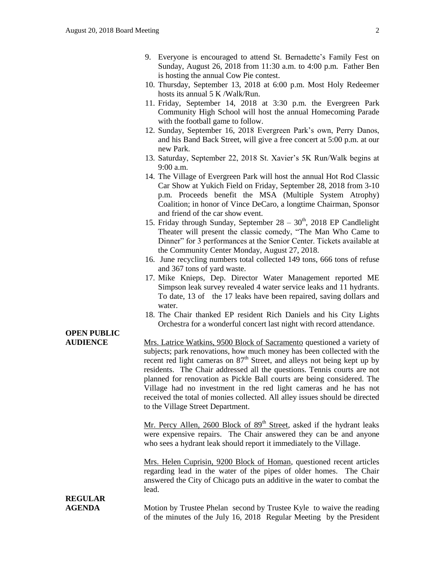- 9. Everyone is encouraged to attend St. Bernadette's Family Fest on Sunday, August 26, 2018 from 11:30 a.m. to 4:00 p.m. Father Ben is hosting the annual Cow Pie contest.
- 10. Thursday, September 13, 2018 at 6:00 p.m. Most Holy Redeemer hosts its annual 5 K /Walk/Run.
- 11. Friday, September 14, 2018 at 3:30 p.m. the Evergreen Park Community High School will host the annual Homecoming Parade with the football game to follow.
- 12. Sunday, September 16, 2018 Evergreen Park's own, Perry Danos, and his Band Back Street, will give a free concert at 5:00 p.m. at our new Park.
- 13. Saturday, September 22, 2018 St. Xavier's 5K Run/Walk begins at 9:00 a.m.
- 14. The Village of Evergreen Park will host the annual Hot Rod Classic Car Show at Yukich Field on Friday, September 28, 2018 from 3-10 p.m. Proceeds benefit the MSA (Multiple System Atrophy) Coalition; in honor of Vince DeCaro, a longtime Chairman, Sponsor and friend of the car show event.
- 15. Friday through Sunday, September  $28 30<sup>th</sup>$ , 2018 EP Candlelight Theater will present the classic comedy, "The Man Who Came to Dinner" for 3 performances at the Senior Center. Tickets available at the Community Center Monday, August 27, 2018.
- 16. June recycling numbers total collected 149 tons, 666 tons of refuse and 367 tons of yard waste.
- 17. Mike Knieps, Dep. Director Water Management reported ME Simpson leak survey revealed 4 water service leaks and 11 hydrants. To date, 13 of the 17 leaks have been repaired, saving dollars and water.
- 18. The Chair thanked EP resident Rich Daniels and his City Lights Orchestra for a wonderful concert last night with record attendance.

#### **OPEN PUBLIC AUDIENCE** Mrs. Latrice Watkins, 9500 Block of Sacramento questioned a variety of subjects; park renovations, how much money has been collected with the recent red light cameras on  $87<sup>th</sup>$  Street, and alleys not being kept up by residents. The Chair addressed all the questions. Tennis courts are not planned for renovation as Pickle Ball courts are being considered. The Village had no investment in the red light cameras and he has not received the total of monies collected. All alley issues should be directed to the Village Street Department. Mr. Percy Allen, 2600 Block of  $89<sup>th</sup>$  Street, asked if the hydrant leaks were expensive repairs. The Chair answered they can be and anyone who sees a hydrant leak should report it immediately to the Village. Mrs. Helen Cuprisin, 9200 Block of Homan, questioned recent articles regarding lead in the water of the pipes of older homes. The Chair answered the City of Chicago puts an additive in the water to combat the lead. **REGULAR AGENDA** Motion by Trustee Phelan second by Trustee Kyle to waive the reading of the minutes of the July 16, 2018 Regular Meeting by the President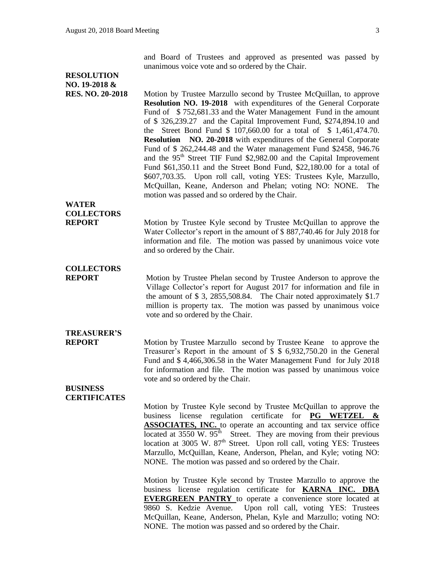and Board of Trustees and approved as presented was passed by unanimous voice vote and so ordered by the Chair.

### **RESOLUTION NO. 19-2018 &**

**RES. NO. 20-2018** Motion by Trustee Marzullo second by Trustee McQuillan, to approve **Resolution NO. 19-2018** with expenditures of the General Corporate Fund of  $$752,681.33$  and the Water Management Fund in the amount of \$ 326,239.27 and the Capital Improvement Fund, \$274,894.10 and the Street Bond Fund \$ 107,660.00 for a total of \$ 1,461,474.70. **Resolution NO. 20-2018** with expenditures of the General Corporate Fund of \$ 262,244.48 and the Water management Fund \$2458, 946.76 and the 95<sup>th</sup> Street TIF Fund \$2,982.00 and the Capital Improvement Fund \$61,350.11 and the Street Bond Fund, \$22,180.00 for a total of \$607,703.35. Upon roll call, voting YES: Trustees Kyle, Marzullo, McQuillan, Keane, Anderson and Phelan; voting NO: NONE. The motion was passed and so ordered by the Chair.

### **WATER COLLECTORS**

**REPORT** Motion by Trustee Kyle second by Trustee McQuillan to approve the Water Collector's report in the amount of \$ 887,740.46 for July 2018 for information and file. The motion was passed by unanimous voice vote and so ordered by the Chair.

# **COLLECTORS**

**REPORT** Motion by Trustee Phelan second by Trustee Anderson to approve the Village Collector's report for August 2017 for information and file in the amount of \$ 3, 2855,508.84. The Chair noted approximately \$1.7 million is property tax. The motion was passed by unanimous voice vote and so ordered by the Chair.

## **TREASURER'S**

**REPORT** Motion by Trustee Marzullo second by Trustee Keane to approve the Treasurer's Report in the amount of \$ \$ 6,932,750.20 in the General Fund and \$ 4,466,306.58 in the Water Management Fund for July 2018 for information and file. The motion was passed by unanimous voice vote and so ordered by the Chair.

#### **BUSINESS CERTIFICATES**

Motion by Trustee Kyle second by Trustee McQuillan to approve the business license regulation certificate for **PG WETZEL & ASSOCIATES, INC.** to operate an accounting and tax service office located at  $3550 \text{ W}$ .  $95^{\text{th}}$  Street. They are moving from their previous location at 3005 W. 87<sup>th</sup> Street. Upon roll call, voting YES: Trustees Marzullo, McQuillan, Keane, Anderson, Phelan, and Kyle; voting NO: NONE. The motion was passed and so ordered by the Chair.

Motion by Trustee Kyle second by Trustee Marzullo to approve the business license regulation certificate for **KARNA INC. DBA EVERGREEN PANTRY** to operate a convenience store located at 9860 S. Kedzie Avenue. Upon roll call, voting YES: Trustees McQuillan, Keane, Anderson, Phelan, Kyle and Marzullo; voting NO: NONE. The motion was passed and so ordered by the Chair.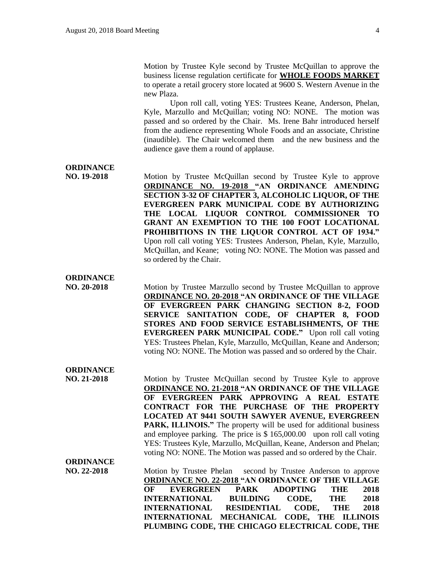Motion by Trustee Kyle second by Trustee McQuillan to approve the business license regulation certificate for **WHOLE FOODS MARKET** to operate a retail grocery store located at 9600 S. Western Avenue in the new Plaza.

Upon roll call, voting YES: Trustees Keane, Anderson, Phelan, Kyle, Marzullo and McQuillan; voting NO: NONE. The motion was passed and so ordered by the Chair. Ms. Irene Bahr introduced herself from the audience representing Whole Foods and an associate, Christine (inaudible). The Chair welcomed them and the new business and the audience gave them a round of applause.

**ORDINANCE**

**NO. 19-2018** Motion by Trustee McQuillan second by Trustee Kyle to approve **ORDINANCE NO. 19-2018 "AN ORDINANCE AMENDING SECTION 3-32 OF CHAPTER 3, ALCOHOLIC LIQUOR, OF THE EVERGREEN PARK MUNICIPAL CODE BY AUTHORIZING THE LOCAL LIQUOR CONTROL COMMISSIONER TO GRANT AN EXEMPTION TO THE 100 FOOT LOCATIONAL PROHIBITIONS IN THE LIQUOR CONTROL ACT OF 1934."**  Upon roll call voting YES: Trustees Anderson, Phelan, Kyle, Marzullo, McQuillan, and Keane; voting NO: NONE. The Motion was passed and so ordered by the Chair.

#### **ORDINANCE**

**NO. 20-2018** Motion by Trustee Marzullo second by Trustee McQuillan to approve **ORDINANCE NO. 20-2018 "AN ORDINANCE OF THE VILLAGE OF EVERGREEN PARK CHANGING SECTION 8-2, FOOD SERVICE SANITATION CODE, OF CHAPTER 8, FOOD STORES AND FOOD SERVICE ESTABLISHMENTS, OF THE EVERGREEN PARK MUNICIPAL CODE."** Upon roll call voting YES: Trustees Phelan, Kyle, Marzullo, McQuillan, Keane and Anderson; voting NO: NONE. The Motion was passed and so ordered by the Chair.

#### **ORDINANCE**

**NO. 21-2018** Motion by Trustee McQuillan second by Trustee Kyle to approve **ORDINANCE NO. 21-2018 "AN ORDINANCE OF THE VILLAGE OF EVERGREEN PARK APPROVING A REAL ESTATE CONTRACT FOR THE PURCHASE OF THE PROPERTY LOCATED AT 9441 SOUTH SAWYER AVENUE, EVERGREEN PARK, ILLINOIS."** The property will be used for additional business and employee parking. The price is \$ 165,000.00 upon roll call voting YES: Trustees Kyle, Marzullo, McQuillan, Keane, Anderson and Phelan; voting NO: NONE. The Motion was passed and so ordered by the Chair.

#### **ORDINANCE**

**NO. 22-2018** Motion by Trustee Phelan second by Trustee Anderson to approve **ORDINANCE NO. 22-2018 "AN ORDINANCE OF THE VILLAGE OF EVERGREEN PARK ADOPTING THE 2018 INTERNATIONAL BUILDING CODE, THE 2018 INTERNATIONAL RESIDENTIAL CODE, THE 2018 INTERNATIONAL MECHANICAL CODE, THE ILLINOIS PLUMBING CODE, THE CHICAGO ELECTRICAL CODE, THE**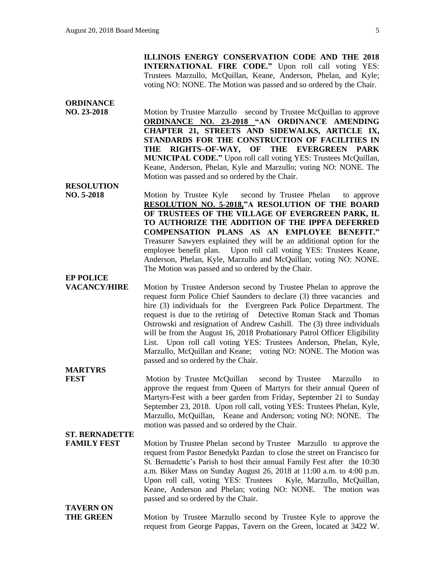**ILLINOIS ENERGY CONSERVATION CODE AND THE 2018 INTERNATIONAL FIRE CODE."** Upon roll call voting YES: Trustees Marzullo, McQuillan, Keane, Anderson, Phelan, and Kyle; voting NO: NONE. The Motion was passed and so ordered by the Chair.

#### **ORDINANCE**

**NO. 23-2018** Motion by Trustee Marzullo second by Trustee McQuillan to approve **ORDINANCE NO. 23-2018 "AN ORDINANCE AMENDING CHAPTER 21, STREETS AND SIDEWALKS, ARTICLE IX, STANDARDS FOR THE CONSTRUCTION OF FACILITIES IN THE RIGHTS–OF-WAY, OF THE EVERGREEN PARK MUNICIPAL CODE."** Upon roll call voting YES: Trustees McQuillan, Keane, Anderson, Phelan, Kyle and Marzullo; voting NO: NONE. The Motion was passed and so ordered by the Chair.

### **RESOLUTION**

**NO. 5-2018** Motion by Trustee Kyle second by Trustee Phelan to approve **RESOLUTION NO. 5-2018,"A RESOLUTION OF THE BOARD OF TRUSTEES OF THE VILLAGE OF EVERGREEN PARK, IL TO AUTHORIZE THE ADDITION OF THE IPPFA DEFERRED COMPENSATION PLANS AS AN EMPLOYEE BENEFIT."** Treasurer Sawyers explained they will be an additional option for the employee benefit plan.Upon roll call voting YES: Trustees Keane, Anderson, Phelan, Kyle, Marzullo and McQuillan; voting NO: NONE. The Motion was passed and so ordered by the Chair.

#### **EP POLICE**

**VACANCY/HIRE** Motion by Trustee Anderson second by Trustee Phelan to approve the request form Police Chief Saunders to declare (3) three vacancies and hire (3) individuals for the Evergreen Park Police Department. The request is due to the retiring of Detective Roman Stack and Thomas Ostrowski and resignation of Andrew Cashill. The (3) three individuals will be from the August 16, 2018 Probationary Patrol Officer Eligibility List. Upon roll call voting YES: Trustees Anderson, Phelan, Kyle, Marzullo, McQuillan and Keane; voting NO: NONE. The Motion was passed and so ordered by the Chair.

### **MARTYRS**

**FEST** Motion by Trustee McQuillan second by Trustee Marzullo to approve the request from Queen of Martyrs for their annual Queen of Martyrs-Fest with a beer garden from Friday, September 21 to Sunday September 23, 2018. Upon roll call, voting YES: Trustees Phelan, Kyle, Marzullo, McQuillan, Keane and Anderson; voting NO: NONE. The motion was passed and so ordered by the Chair.

## **ST. BERNADETTE**

**FAMILY FEST** Motion by Trustee Phelan second by Trustee Marzullo to approve the request from Pastor Benedykt Pazdan to close the street on Francisco for St. Bernadette's Parish to host their annual Family Fest after the 10:30 a.m. Biker Mass on Sunday August 26, 2018 at 11:00 a.m. to 4:00 p.m. Upon roll call, voting YES: Trustees Kyle, Marzullo, McQuillan, Keane, Anderson and Phelan; voting NO: NONE. The motion was passed and so ordered by the Chair.

# **TAVERN ON**

**THE GREEN** Motion by Trustee Marzullo second by Trustee Kyle to approve the request from George Pappas, Tavern on the Green, located at 3422 W.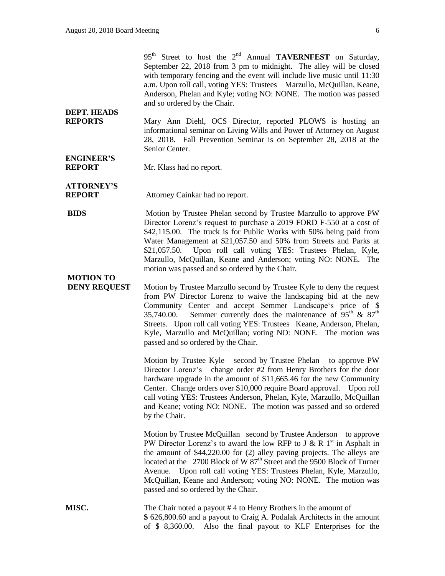95<sup>th</sup> Street to host the 2<sup>nd</sup> Annual **TAVERNFEST** on Saturday, September 22, 2018 from 3 pm to midnight. The alley will be closed with temporary fencing and the event will include live music until 11:30 a.m. Upon roll call, voting YES: Trustees Marzullo, McQuillan, Keane, Anderson, Phelan and Kyle; voting NO: NONE. The motion was passed and so ordered by the Chair.

#### **DEPT. HEADS REPORTS** Mary Ann Diehl, OCS Director, reported PLOWS is hosting an informational seminar on Living Wills and Power of Attorney on August 28, 2018. Fall Prevention Seminar is on September 28, 2018 at the Senior Center.

**ENGINEER'S**

**REPORT** Mr. Klass had no report.

**ATTORNEY'S REPORT** Attorney Cainkar had no report.

**BIDS** Motion by Trustee Phelan second by Trustee Marzullo to approve PW Director Lorenz's request to purchase a 2019 FORD F-550 at a cost of \$42,115.00. The truck is for Public Works with 50% being paid from Water Management at \$21,057.50 and 50% from Streets and Parks at \$21,057.50. Upon roll call voting YES: Trustees Phelan, Kyle, Marzullo, McQuillan, Keane and Anderson; voting NO: NONE. The motion was passed and so ordered by the Chair.

# **MOTION TO**

Motion by Trustee Marzullo second by Trustee Kyle to deny the request from PW Director Lorenz to waive the landscaping bid at the new Community Center and accept Semmer Landscape's price of \$ 35,740.00. Semmer currently does the maintenance of  $95<sup>th</sup>$  &  $87<sup>th</sup>$ Streets. Upon roll call voting YES: Trustees Keane, Anderson, Phelan, Kyle, Marzullo and McQuillan; voting NO: NONE. The motion was passed and so ordered by the Chair.

Motion by Trustee Kyle second by Trustee Phelan to approve PW Director Lorenz's change order #2 from Henry Brothers for the door hardware upgrade in the amount of \$11,665.46 for the new Community Center. Change orders over \$10,000 require Board approval. Upon roll call voting YES: Trustees Anderson, Phelan, Kyle, Marzullo, McQuillan and Keane; voting NO: NONE. The motion was passed and so ordered by the Chair.

Motion by Trustee McQuillan second by Trustee Anderson to approve PW Director Lorenz's to award the low RFP to J & R  $1<sup>st</sup>$  in Asphalt in the amount of \$44,220.00 for (2) alley paving projects. The alleys are located at the 2700 Block of W 87<sup>th</sup> Street and the 9500 Block of Turner Avenue. Upon roll call voting YES: Trustees Phelan, Kyle, Marzullo, McQuillan, Keane and Anderson; voting NO: NONE. The motion was passed and so ordered by the Chair.

**MISC.** The Chair noted a payout #4 to Henry Brothers in the amount of **\$** 626,800.60 and a payout to Craig A. Podalak Architects in the amount of \$ 8,360.00. Also the final payout to KLF Enterprises for the